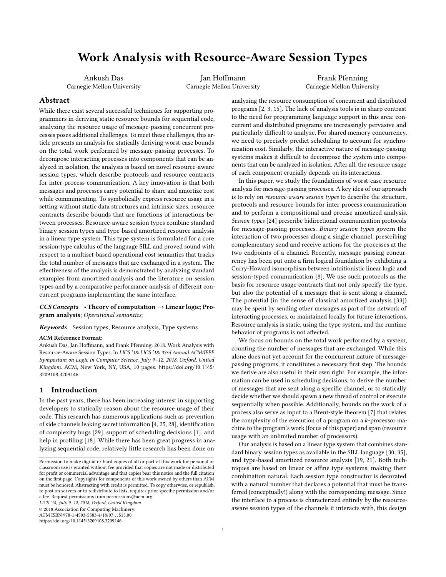# Work Analysis with Resource-Aware Session Types

Ankush Das Carnegie Mellon University

Jan Hoffmann Carnegie Mellon University

Frank Pfenning Carnegie Mellon University

# Abstract

While there exist several successful techniques for supporting programmers in deriving static resource bounds for sequential code, analyzing the resource usage of message-passing concurrent processes poses additional challenges. To meet these challenges, this article presents an analysis for statically deriving worst-case bounds on the total work performed by message-passing processes. To decompose interacting processes into components that can be analyzed in isolation, the analysis is based on novel resource-aware session types, which describe protocols and resource contracts for inter-process communication. A key innovation is that both messages and processes carry potential to share and amortize cost while communicating. To symbolically express resource usage in a setting without static data structures and intrinsic sizes, resource contracts describe bounds that are functions of interactions between processes. Resource-aware session types combine standard binary session types and type-based amortized resource analysis in a linear type system. This type system is formulated for a core session-type calculus of the language SILL and proved sound with respect to a multiset-based operational cost semantics that tracks the total number of messages that are exchanged in a system. The effectiveness of the analysis is demonstrated by analyzing standard examples from amortized analysis and the literature on session types and by a comparative performance analysis of different concurrent programs implementing the same interface.

CCS Concepts • Theory of computation  $\rightarrow$  Linear logic; Program analysis; Operational semantics;

Keywords Session types, Resource analysis, Type systems

#### ACM Reference Format:

Ankush Das, Jan Hoffmann, and Frank Pfenning. 2018. Work Analysis with Resource-Aware Session Types. In LICS '18: LICS '18: 33rd Annual ACM/IEEE Symposium on Logic in Computer Science, July 9–12, 2018, Oxford, United Kingdom. ACM, New York, NY, USA, [10](#page-9-0) pages. [https://doi.org/10.1145/](https://doi.org/10.1145/3209108.3209146) [3209108.3209146](https://doi.org/10.1145/3209108.3209146)

## 1 Introduction

In the past years, there has been increasing interest in supporting developers to statically reason about the resource usage of their code. This research has numerous applications such as prevention of side channels leaking secret information [\[4,](#page-9-1) [25,](#page-9-2) [28\]](#page-9-3), identification of complexity bugs [\[29\]](#page-9-4), support of scheduling decisions [\[1\]](#page-9-5), and help in profiling [\[18\]](#page-9-6). While there has been great progress in analyzing sequential code, relatively little research has been done on

LICS '18, July 9–12, 2018, Oxford, United Kingdom

© 2018 Association for Computing Machinery. ACM ISBN 978-1-4503-5583-4/18/07... \$15.00

<https://doi.org/10.1145/3209108.3209146>

analyzing the resource consumption of concurrent and distributed programs [\[2,](#page-9-7) [3,](#page-9-8) [15\]](#page-9-9). The lack of analysis tools is in sharp contrast to the need for programming language support in this area: concurrent and distributed programs are increasingly pervasive and particularly difficult to analyze. For shared memory concurrency, we need to precisely predict scheduling to account for synchronization cost. Similarly, the interactive nature of message-passing systems makes it difficult to decompose the system into components that can be analyzed in isolation. After all, the resource usage of each component crucially depends on its interactions.

In this paper, we study the foundations of worst-case resource analysis for message-passing processes. A key idea of our approach is to rely on resource-aware session types to describe the structure, protocols and resource bounds for inter-process communication and to perform a compositional and precise amortized analysis. Session types [\[24\]](#page-9-10) prescribe bidirectional communication protocols for message-passing processes. Binary session types govern the interaction of two processes along a single channel, prescribing complementary send and receive actions for the processes at the two endpoints of a channel. Recently, message-passing concurrency has been put onto a firm logical foundation by exhibiting a Curry-Howard isomorphism between intuitionistic linear logic and session-typed communication [\[8\]](#page-9-11). We use such protocols as the basis for resource usage contracts that not only specify the type, but also the potential of a message that is sent along a channel. The potential (in the sense of classical amortized analysis [\[33\]](#page-9-12)) may be spent by sending other messages as part of the network of interacting processes, or maintained locally for future interactions. Resource analysis is static, using the type system, and the runtime behavior of programs is not affected.

We focus on bounds on the total work performed by a system, counting the number of messages that are exchanged. While this alone does not yet account for the concurrent nature of messagepassing programs, it constitutes a necessary first step. The bounds we derive are also useful in their own right. For example, the information can be used in scheduling decisions, to derive the number of messages that are sent along a specific channel, or to statically decide whether we should spawn a new thread of control or execute sequentially when possible. Additionally, bounds on the work of a process also serve as input to a Brent-style theorem [\[7\]](#page-9-13) that relates the complexity of the execution of a program on a  $k$ -processor machine to the program's work (focus of this paper) and span (resource usage with an unlimited number of processors).

Our analysis is based on a linear type system that combines standard binary session types as available in the SILL language [\[30,](#page-9-14) [35\]](#page-9-15), and type-based amortized resource analysis [\[19,](#page-9-16) [21\]](#page-9-17). Both techniques are based on linear or affine type systems, making their combination natural. Each session type constructor is decorated with a natural number that declares a potential that must be transferred (conceptually!) along with the corresponding message. Since the interface to a process is characterized entirely by the resourceaware session types of the channels it interacts with, this design

Permission to make digital or hard copies of all or part of this work for personal or classroom use is granted without fee provided that copies are not made or distributed for profit or commercial advantage and that copies bear this notice and the full citation on the first page. Copyrights for components of this work owned by others than ACM must be honored. Abstracting with credit is permitted. To copy otherwise, or republish, to post on servers or to redistribute to lists, requires prior specific permission and/or a fee. Request permissions from permissions@acm.org.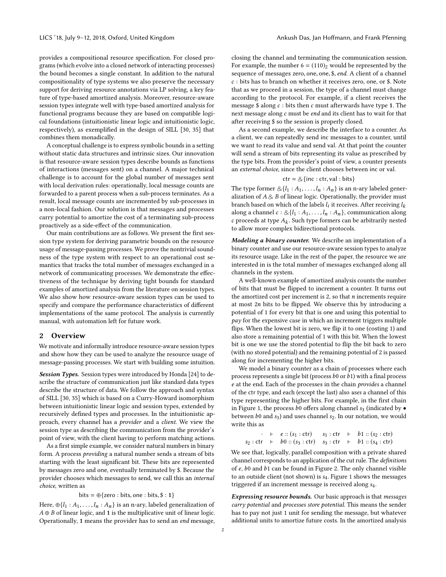provides a compositional resource specification. For closed programs (which evolve into a closed network of interacting processes) the bound becomes a single constant. In addition to the natural compositionality of type systems we also preserve the necessary support for deriving resource annotations via LP solving, a key feature of type-based amortized analysis. Moreover, resource-aware session types integrate well with type-based amortized analysis for functional programs because they are based on compatible logical foundations (intuitionistic linear logic and intuitionistic logic, respectively), as exemplified in the design of SILL [\[30,](#page-9-14) [35\]](#page-9-15) that combines them monadically.

A conceptual challenge is to express symbolic bounds in a setting without static data structures and intrinsic sizes. Our innovation is that resource-aware session types describe bounds as functions of interactions (messages sent) on a channel. A major technical challenge is to account for the global number of messages sent with local derivation rules: operationally, local message counts are forwarded to a parent process when a sub-process terminates. As a result, local message counts are incremented by sub-processes in a non-local fashion. Our solution is that messages and processes carry potential to amortize the cost of a terminating sub-process proactively as a side-effect of the communication.

Our main contributions are as follows. We present the first session type system for deriving parametric bounds on the resource usage of message-passing processes. We prove the nontrivial soundness of the type system with respect to an operational cost semantics that tracks the total number of messages exchanged in a network of communicating processes. We demonstrate the effectiveness of the technique by deriving tight bounds for standard examples of amortized analysis from the literature on session types. We also show how resource-aware session types can be used to specify and compare the performance characteristics of different implementations of the same protocol. The analysis is currently manual, with automation left for future work.

# <span id="page-1-0"></span>2 Overview

We motivate and informally introduce resource-aware session types and show how they can be used to analyze the resource usage of message-passing processes. We start with building some intuition.

Session Types. Session types were introduced by Honda [\[24\]](#page-9-10) to describe the structure of communication just like standard data types describe the structure of data. We follow the approach and syntax of SILL [\[30,](#page-9-14) [35\]](#page-9-15) which is based on a Curry-Howard isomorphism between intuitionistic linear logic and session types, extended by recursively defined types and processes. In the intuitionistic approach, every channel has a provider and a client. We view the session type as describing the communication from the provider's point of view, with the client having to perform matching actions.

As a first simple example, we consider natural numbers in binary form. A process providing a natural number sends a stream of bits starting with the least significant bit. These bits are represented by messages zero and one, eventually terminated by \$. Because the provider chooses which messages to send, we call this an internal choice, written as

bits = 
$$
\bigoplus
$$
 {zero : bits, one : bits, \$ : 1}

Here,  $\bigoplus \{l_1 : A_1, \ldots, l_n : A_n\}$  is an n-ary, labeled generalization of  $A \oplus B$  of linear logic, and 1 is the multiplicative unit of linear logic  $A \oplus B$  of linear logic, and 1 is the multiplicative unit of linear logic. Operationally, 1 means the provider has to send an end message,

closing the channel and terminating the communication session. For example, the number  $6 = (110)<sub>2</sub>$  would be represented by the sequence of messages zero, one, one, \$, end. A client of a channel c : bits has to branch on whether it receives zero, one, or \$. Note that as we proceed in a session, the type of a channel must change according to the protocol. For example, if a client receives the message  $\frac{1}{2}$  along c : bits then c must afterwards have type 1. The next message along c must be end and its client has to wait for that after receiving \$ so the session is properly closed.

As a second example, we describe the interface to a counter. As a client, we can repeatedly send inc messages to a counter, until we want to read its value and send val. At that point the counter will send a stream of bits representing its value as prescribed by the type bits. From the provider's point of view, a counter presents an external choice, since the client chooses between inc or val.

$$
ctr = \& \{ inc :ctr, val : bits \}
$$

The type former  $\& \{l_1 : A_1, \ldots, l_n : A_n \}$  is an n-ary labeled gener-<br>alization of  $A \& R$  of linear logic. Operationally, the provider must alization of  $A \& B$  of linear logic. Operationally, the provider must branch based on which of the labels  $l_i$  it receives. After receiving  $l_k$ <br>along a channel  $c: 8Jl + 4$ ,  $l + 4$ , communication along along a channel  $c : \mathcal{L}{l_1 : A_1, \ldots, l_n : A_n}$ , communication along c proceeds at type  $A_k$ . Such type formers can be arbitrarily nested<br>to allow more complex bidirectional protocols to allow more complex bidirectional protocols.

Modeling a binary counter. We describe an implementation of a binary counter and use our resource-aware session types to analyze its resource usage. Like in the rest of the paper, the resource we are interested in is the total number of messages exchanged along all channels in the system.

A well-known example of amortized analysis counts the number of bits that must be flipped to increment a counter. It turns out the amortized cost per increment is  $2$ , so that  $n$  increments require at most  $2n$  bits to be flipped. We observe this by introducing a potential of 1 for every bit that is one and using this potential to pay for the expensive case in which an increment triggers multiple flips. When the lowest bit is zero, we flip it to one (costing 1) and also store a remaining potential of 1 with this bit. When the lowest bit is one we use the stored potential to flip the bit back to zero (with no stored potential) and the remaining potential of 2 is passed along for incrementing the higher bits.

We model a binary counter as a chain of processes where each process represents a single bit (process  $b0$  or  $b1$ ) with a final process e at the end. Each of the processes in the chain provides a channel of the ctr type, and each (except the last) also uses a channel of this type representing the higher bits. For example, in the first chain in Figure [1,](#page-2-0) the process  $b0$  offers along channel  $s_3$  (indicated by  $\bullet$ between  $b_0$  and  $s_3$ ) and uses channel  $s_2$ . In our notation, we would write this as

$$
s_2: \text{ctr } + e :: (s_1: \text{ctr}) \qquad s_1: \text{ctr } + b_1 :: (s_2: \text{ctr})
$$
\n
$$
s_2: \text{ctr } + b_0 :: (s_3: \text{ctr}) \qquad s_3: \text{ctr } + b_1 :: (s_4: \text{ctr})
$$

We see that, logically, parallel composition with a private shared channel corresponds to an application of the cut rule. The definitions of e, b<sup>0</sup> and b<sup>1</sup> can be found in Figure [2.](#page-4-0) The only channel visible to an outside client (not shown) is  $s_4$ . Figure [1](#page-2-0) shows the messages triggered if an increment message is received along s4.

Expressing resource bounds. Our basic approach is that messages carry potential and processes store potential. This means the sender has to pay not just 1 unit for sending the message, but whatever additional units to amortize future costs. In the amortized analysis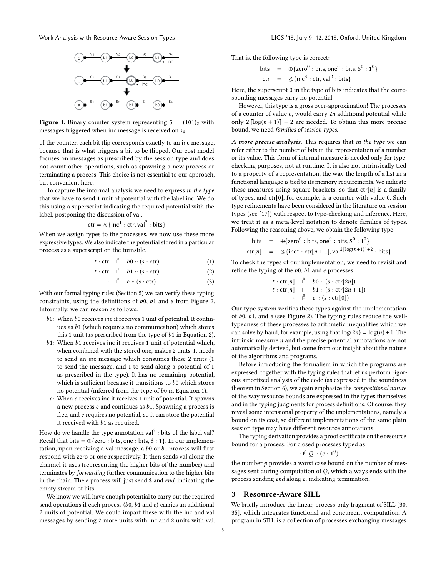<span id="page-2-0"></span>



**Figure 1.** Binary counter system representing  $5 = (101)<sub>2</sub>$  with messages triggered when inc message is received on s4.

of the counter, each bit flip corresponds exactly to an inc message, because that is what triggers a bit to be flipped. Our cost model focuses on messages as prescribed by the session type and does not count other operations, such as spawning a new process or terminating a process. This choice is not essential to our approach, but convenient here.

To capture the informal analysis we need to express in the type that we have to send 1 unit of potential with the label inc. We do this using a superscript indicating the required potential with the label, postponing the discussion of val.

$$
tr = \& \{ inc^1 : \text{ctr, val}^2 : \text{bits} \}
$$

 $ctr = \&{int1:ctr, val}^2 : bits$ <br>When we assign types to the processes, we now use these more expressive types. We also indicate the potential stored in a particular process as a superscript on the turnstile.

<span id="page-2-1"></span>
$$
t: \text{ctr} \quad \stackrel{\circ}{\mapsto} \quad b0 :: (s : \text{ctr}) \tag{1}
$$

$$
t: \text{ctr} \quad \xrightarrow{\text{!}} \quad b1 :: (s : \text{ctr}) \tag{2}
$$

$$
\therefore \quad \stackrel{\circ}{\vdash} \quad e :: (s : \text{ctr}) \tag{3}
$$

With our formal typing rules (Section [5\)](#page-5-0) we can verify these typing constraints, using the definitions of b0, b<sup>1</sup> and e from Figure [2.](#page-4-0) Informally, we can reason as follows:

- b0: When b<sup>0</sup> receives inc it receives 1 unit of potential. It continues as b<sup>1</sup> (which requires no communication) which stores this 1 unit (as prescribed from the type of  $b1$  in Equation [2\)](#page-2-1).
- b1: When b<sup>1</sup> receives inc it receives 1 unit of potential which, when combined with the stored one, makes 2 units. It needs to send an inc message which consumes these 2 units (1 to send the message, and 1 to send along a potential of 1 as prescribed in the type). It has no remaining potential, which is sufficient because it transitions to  $b0$  which stores no potential (inferred from the type of b<sup>0</sup> in Equation [1\)](#page-2-1).
- e: When <sup>e</sup> receives inc it receives 1 unit of potential. It spawns a new process e and continues as b1. Spawning a process is free, and e requires no potential, so it can store the potential it received with b<sup>1</sup> as required.

How do we handle the type annotation val<sup>?</sup> : bits of the label val? Recall that bits =  $\bigoplus$ {zero : bits, one : bits, \$ : 1}. In our implementation, upon receiving a val message, a  $b0$  or  $b1$  process will first respond with zero or one respectively. It then sends val along the channel it uses (representing the higher bits of the number) and terminates by forwarding further communication to the higher bits in the chain. The  $e$  process will just send  $\$$  and  $end$ , indicating the empty stream of bits.

We know we will have enough potential to carry out the required send operations if each process  $(b0, b1$  and  $e)$  carries an additional 2 units of potential. We could impart these with the inc and val messages by sending 2 more units with inc and 2 units with val. That is, the following type is correct:

bits = 
$$
\bigoplus
$$
 {zero<sup>0</sup> : bits, one<sup>0</sup> : bits,  $\$^0 : 1^0$ }  
ctr =  $\&$  {inc<sup>3</sup> : ctr, val<sup>2</sup> : bits}

Here, the superscript 0 in the type of bits indicates that the corresponding messages carry no potential.

However, this type is a gross over-approximation! The processes of a counter of value  $n$ , would carry  $2n$  additional potential while only  $2 \left[ \log(n + 1) \right] + 2$  are needed. To obtain this more precise bound, we need families of session types.

A more precise analysis. This requires that in the type we can refer either to the number of bits in the representation of a number or its value. This form of internal measure is needed only for typechecking purposes, not at runtime. It is also not intrinsically tied to a property of a representation, the way the length of a list in a functional language is tied to its memory requirements. We indicate these measures using square brackets, so that  $ctr[n]$  is a family of types, and ctr[0], for example, is a counter with value 0. Such type refinements have been considered in the literature on session types (see [\[17\]](#page-9-18)) with respect to type-checking and inference. Here, we treat it as a meta-level notation to denote families of types. Following the reasoning above, we obtain the following type:

bits = 
$$
\oplus \{ {\sf zero}^0 : \text{bits}, {\sf one}^0 : \text{bits}, \$\}^0 : 1^0 \}
$$
  
ctr[*n*] =  $\& \{ \text{inc}^1 : \text{ctr}[n+1], \text{val}^{2\lceil \log(n+1) \rceil + 2} : \text{bits} \}$ 

To check the types of our implementation, we need to revisit and refine the typing of the b0, b<sup>1</sup> and e processes.

$$
t: \text{ctr}[n] \quad \overset{\rho}{\vdash} \quad b0 :: (s : \text{ctr}[2n])
$$
\n
$$
t: \text{ctr}[n] \quad \overset{\rho}{\vdash} \quad b1 :: (s : \text{ctr}[2n + 1])
$$
\n
$$
\qquad \qquad \overset{\rho}{\vdash} \quad e :: (s : \text{ctr}[0])
$$

 $e : (s : \text{ctr}[0])$ <br>Our type system verifies these types against the implementation of  $b0$ ,  $b1$ , and  $e$  (see Figure [2\)](#page-4-0). The typing rules reduce the welltypedness of these processes to arithmetic inequalities which we can solve by hand, for example, using that  $log(2n) = log(n) + 1$ . The intrinsic measure  $n$  and the precise potential annotations are not automatically derived, but come from our insight about the nature of the algorithms and programs.

Before introducing the formalism in which the programs are expressed, together with the typing rules that let us perform rigorous amortized analysis of the code (as expressed in the soundness theorem in Section [6\)](#page-6-0), we again emphasize the compositional nature of the way resource bounds are expressed in the types themselves and in the typing judgments for process definitions. Of course, they reveal some intensional property of the implementations, namely a bound on its cost, so different implementations of the same plain session type may have different resource annotations.

The typing derivation provides a proof certificate on the resource bound for a process. For closed processes typed as

$$
\cdot \stackrel{p}{\vdash} Q :: (c : 1^0)
$$

the number  $p$  provides a worst case bound on the number of mes-<br>sages sent during computation of  $Q$  which always ends with the sages sent during computation of  $Q$ , which always ends with the process sending end along c, indicating termination.

## 3 Resource-Aware SILL

We briefly introduce the linear, process-only fragment of SILL [\[30,](#page-9-14) [35\]](#page-9-15), which integrates functional and concurrent computation. A program in SILL is a collection of processes exchanging messages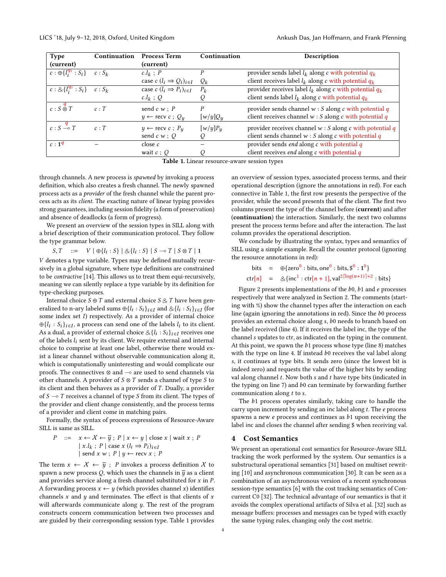<span id="page-3-0"></span>

| <b>Type</b>                                  | Continuation | <b>Process Term</b>                      | Continuation | Description                                                |
|----------------------------------------------|--------------|------------------------------------------|--------------|------------------------------------------------------------|
| (current)                                    |              | (current)                                |              |                                                            |
| $c : \bigoplus \{l_i^{q_i} : S_i\}$          | $c: S_k$     | $c.l_k$ ; P                              |              | provider sends label $l_k$ along c with potential $q_k$    |
|                                              |              | case $c(l_i \Rightarrow Q_i)_{i \in I}$  | $Q_k$        | client receives label $l_k$ along c with potential $q_k$   |
| $\overline{c:8\{l_i^{q_i}:S_i\}}$ $c: S_k$   |              | case $c (l_i \Rightarrow P_i)_{i \in I}$ | $P_k$        | provider receives label $l_k$ along c with potential $q_k$ |
|                                              |              | $c.l_k$ ; Q                              | Ų            | client sends label $l_k$ along c with potential $q_k$      |
| $c: S \overset{q}{\otimes} T$                | c: T         | send $c w : P$                           | P            | provider sends channel $w : S$ along c with potential q    |
|                                              |              | $y \leftarrow$ recv $c$ ; $Q_u$          | $[w/y]Q_y$   | client receives channel $w : S$ along c with potential q   |
| $c: S \stackrel{q}{\multimap} T$             | c: T         | $y \leftarrow$ recv $c$ ; $P_u$          | $[w/y]P_u$   | provider receives channel $w : S$ along c with potential q |
|                                              |              | send $c w$ ; $Q$                         | Q            | client sends channel $w : S$ along c with potential q      |
| c: 1 <sup>q</sup>                            |              | close c                                  |              | provider sends $end$ along $c$ with potential $q$          |
|                                              |              | wait $c: Q$                              |              | client receives $end$ along $c$ with potential $q$         |
| Table 1. Linear resource-aware session types |              |                                          |              |                                                            |

through channels. A new process is spawned by invoking a process definition, which also creates a fresh channel. The newly spawned process acts as a provider of the fresh channel while the parent process acts as its client. The exacting nature of linear typing provides strong guarantees, including session fidelity (a form of preservation) and absence of deadlocks (a form of progress).

We present an overview of the session types in SILL along with a brief description of their communication protocol. They follow the type grammar below.

 $S, T$  ::=  $V | \oplus \{l_i : S\} | \otimes \{l_i : S\} | S \multimap T | S \otimes T | 1$ 

V denotes a type variable. Types may be defined mutually recursively in a global signature, where type definitions are constrained to be contractive [\[14\]](#page-9-19). This allows us to treat them equi-recursively, meaning we can silently replace a type variable by its definition for type-checking purposes.

Internal choice  $S \oplus T$  and external choice  $S \otimes T$  have been generalized to n-ary labeled sums  $\bigoplus_i \{i : S_i\}_{i \in I}$  and  $\bigotimes_i \{i : S_i\}_{i \in I}$  (for some index set I) respectively. As a provider of internal choice  $\bigoplus_i \{i : S_i\}_{i \in I}$ , a process can send one of the labels  $i_i$  to its client. As a dual, a provider of external choice  $\mathcal{R}\{l_i : S_i\}_{i \in I}$  receives one<br>of the labels L sent by its client. We require external and internal of the labels  $l_i$  sent by its client. We require external and internal choice to comprise at least one label, otherwise there would exist a linear channel without observable communication along it, which is computationally uninteresting and would complicate our proofs. The connectives ⊗ and ⊸ are used to send channels via other channels. A provider of  $S \otimes T$  sends a channel of type  $S$  to its client and then behaves as a provider of  $T$ . Dually, a provider of  $S \sim T$  receives a channel of type S from its client. The types of the provider and client change consistently, and the process terms of a provider and client come in matching pairs.

Formally, the syntax of process expressions of Resource-Aware SILL is same as SILL.

$$
P ::= x \leftarrow X \leftarrow \overline{y}; P | x \leftarrow y | close x | wait x; P
$$
  
\n
$$
| x.l_k; P | case x (l_i \Rightarrow P_i)_{i \in I}
$$
  
\n
$$
| send x w; P | y \leftarrow recv x; P
$$

The term  $x \leftarrow \mathcal{X} \leftarrow \overline{y}$ ; P invokes a process definition X to spawn a new process  $Q$ , which uses the channels in  $\overline{y}$  as a client and provides service along a fresh channel substituted for  $x$  in  $P$ . A forwarding process  $x \leftarrow y$  (which provides channel x) identifies channels  $x$  and  $y$  and terminates. The effect is that clients of  $x$ will afterwards communicate along y. The rest of the program constructs concern communication between two processes and are guided by their corresponding session type. Table [1](#page-3-0) provides

an overview of session types, associated process terms, and their operational description (ignore the annotations in red). For each connective in Table [1,](#page-3-0) the first row presents the perspective of the provider, while the second presents that of the client. The first two columns present the type of the channel before (current) and after (continuation) the interaction. Similarly, the next two columns present the process terms before and after the interaction. The last column provides the operational description.

We conclude by illustrating the syntax, types and semantics of SILL using a simple example. Recall the counter protocol (ignoring the resource annotations in red):

bits = 
$$
\bigoplus
$$
 {zero<sup>0</sup> : bits, one<sup>0</sup> : bits, \$<sup>0</sup> : 1<sup>0</sup>}  
ctr[*n*] =  $\&$  {inc<sup>1</sup> : ctr[*n* + 1], val<sup>2</sup>[log(*n*+1)]+2 : bits}

Figure [2](#page-4-0) presents implementations of the b0, b<sup>1</sup> and e processes respectively that were analyzed in Section [2.](#page-1-0) The comments (starting with %) show the channel types after the interaction on each line (again ignoring the annotations in red). Since the b<sup>0</sup> process provides an external choice along s, b<sup>0</sup> needs to branch based on the label received (line [4\)](#page-4-1). If it receives the label inc, the type of the channel s updates to ctr, as indicated on the typing in the comment. At this point, we spawn the b<sup>1</sup> process whose type (line [8\)](#page-4-2) matches with the type on line [4.](#page-4-1) If instead b0 receives the val label along s, it continues at type bits. It sends zero (since the lowest bit is indeed zero) and requests the value of the higher bits by sending val along channel  $t$ . Now both  $s$  and  $t$  have type bits (indicated in the typing on line [7\)](#page-4-3) and b<sup>0</sup> can terminate by forwarding further communication along  $t$  to  $s$ .

The b<sup>1</sup> process operates similarly, taking care to handle the carry upon increment by sending an inc label along  $t$ . The  $e$  process spawns a new  $e$  process and continues as  $b1$  upon receiving the label inc and closes the channel after sending \$ when receiving val.

# <span id="page-3-1"></span>4 Cost Semantics

We present an operational cost semantics for Resource-Aware SILL tracking the work performed by the system. Our semantics is a substructural operational semantics [\[31\]](#page-9-20) based on multiset rewriting [\[10\]](#page-9-21) and asynchronous communication [\[30\]](#page-9-14). It can be seen as a combination of an asynchronous version of a recent synchronous session-type semantics [\[6\]](#page-9-22) with the cost tracking semantics of Concurrent C0 [\[32\]](#page-9-23). The technical advantage of our semantics is that it avoids the complex operational artifacts of Silva et al. [\[32\]](#page-9-23) such as message buffers: processes and messages can be typed with exactly the same typing rules, changing only the cost metric.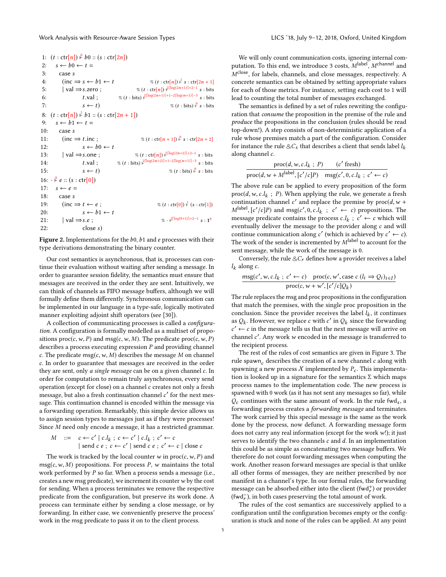```
1: (t : \text{ctr}[n]) \overset{\circ}{\vdash} b0 :: (s : \text{ctr}[2n])<br>2: s \leftarrow b0 \leftarrow t =2: s \leftarrow b0 \leftarrow t =<br>3: case s
 3: case s<br>4: \frac{1}{2} (inc.
 4: \text{(inc} \Rightarrow s \leftarrow b1 \leftarrow t \quad \text{% } (t : \text{ctr}[n])^{\frac{1}{2}} s : \text{ctr}[2n + 1]<br>5: \mid \text{val} \Rightarrow s \text{.zero}; \text{% } (t : \text{ctr}[n])^{\frac{2}{2}[\log(2n+1)] + 2 - 1} s : \text{bits}% (t : \text{ctr}[n]) \overset{1}{\vdash} s : \text{ctr}[2n + 1]5: \begin{vmatrix} \text{val} \implies 0.7 \text{er}(\mathbf{z}) & \frac{g}{2} \frac{[\log(2n+1)] + 2 - 1}{2} s \text{ : bits} \\ \text{for } t & \text{val} \end{vmatrix} + \frac{g}{2} \left( \frac{t \cdot \text{tr}[\mathbf{z}]}{2} \right) \frac{[\log(2n+1)] + 1 - 2[\log(n+1)] - 3}{2} s \text{ : bits}6: t.val ; \% (t : \text{bits}) \frac{2^{\lceil \log(2n+1) \rceil + 1 - 2\lceil \log(n+1) \rceil - 3}}{\sigma (t : \text{bits}) \frac{\varrho}{2} \cdot \text{bits}}7: s \leftarrow t) % (t : bits) ⊢<sup>0</sup>
                                                                                                                          % (t: bits) \int_a^b s : \text{bits}8: (t : \text{ctr}[n]) \neq b1 :: (s : \text{ctr}[2n + 1])<br>0: s \leftarrow b1 \leftarrow t –
9: s \leftarrow b1 \leftarrow t =<br>10: case s
10: case s<br>11: (\text{inc} \Rightarrow t.\text{inc};11: (inc ⇒ t.inc ; % (t : ctr[n + 1]) \frac{\beta}{2} s : ctr[2n + 2]
12: s \leftarrow b0 \leftarrow t<br>13: | \text{val} \Rightarrow s.\text{one};
 13: |\text{val} \Rightarrow \text{s.one}; \frac{\% (t : \text{ctr}[n]) \frac{2^{\lceil \log(2n+2) \rceil + 2 - 1}}{2^{\lceil \log(2n+2) \rceil + 1 - 2 \lceil \log(n+1) \rceil - 3}}}{\sqrt{(t \cdot \text{bit} \cdot \log(2n+2)) + 1 - 2 \lceil \log(n+1) \rceil - 3}}\% \left(t:\operatorname{ctr}[n]\right) \not\models^{2\lceil \log (2n+2) \rceil +2 -1} s: bits
 14: t.\text{val}; \% (t : \text{bits}) \frac{2^{\lceil \log(2n+2) \rceil + 1 - 2\lceil \log(n+1) \rceil - 3}}{\sqrt{t} + \text{bits}} s : \text{bits}15: s \leftarrow t    % (t : bits) \frac{\beta}{t}% (t : \text{bits}) \overset{0}{\vdash} s : \text{bits}16: \cdot \stackrel{\circ}{\vdash} e :: (s : \text{ctr}[0])<br>17: s \leftarrow e =17: s \leftarrow e =<br>18: case s
18: case s<br>19: (\text{inc} \Rightarrow t \leftarrow e):
 19: \left(\text{inc} \Rightarrow t \leftarrow e ;  \frac{}{s \leftarrow b1 \leftarrow t}  \frac{}{s \leftarrow b1 \leftarrow t}20: s \leftarrow b1 \leftarrow t<br>
21: | \text{val} \Rightarrow s.e ;21: | \text{val} \Rightarrow s.e ;<br>
\% \cdot \frac{2^{\lceil \log(0+1) \rceil + 2 - 1}}{s : 1} s : 1^022: close s)
```
Figure 2. Implementations for the b0, b1 and e processes with their type derivations demonstrating the binary counter.

Our cost semantics is asynchronous, that is, processes can continue their evaluation without waiting after sending a message. In order to guarantee session fidelity, the semantics must ensure that messages are received in the order they are sent. Intuitively, we can think of channels as FIFO message buffers, although we will formally define them differently. Synchronous communication can be implemented in our language in a type-safe, logically motivated manner exploiting adjoint shift operators (see [\[30\]](#page-9-14)).

A collection of communicating processes is called a configuration. A configuration is formally modelled as a multiset of propositions  $proc(c, w, P)$  and msg(*c*, *w*, *M*). The predicate proc(*c*, *w*, *P*) describes a process executing expression  $P$  and providing channel c. The predicate msg(c, w, M) describes the message M on channel c. In order to guarantee that messages are received in the order they are sent, only a single message can be on a given channel c. In order for computation to remain truly asynchronous, every send operation (except for close) on a channel c creates not only a fresh message, but also a fresh continuation channel c' for the next mes-<br>sage. This continuation channel is encoded within the message via sage. This continuation channel is encoded within the message via a forwarding operation. Remarkably, this simple device allows us to assign session types to messages just as if they were processes! Since M need only encode a message, it has a restricted grammar.

$$
M ::= c \leftarrow c' | c.l_k ; c \leftarrow c' | c.l_k ; c' \leftarrow c
$$
  
| send c e ; c \leftarrow c' | send c e ; c' \leftarrow c | close c

The work is tracked by the local counter w in  $\text{proc}(c, w, P)$  and  $msg(c, w, M)$  propositions. For process P, w maintains the total work performed by  $P$  so far. When a process sends a message (i.e., creates a new msg predicate), we increment its counter  $w$  by the cost for sending. When a process terminates we remove the respective predicate from the configuration, but preserve its work done. A process can terminate either by sending a close message, or by forwarding. In either case, we conveniently preserve the process' work in the msg predicate to pass it on to the client process.

We will only count communication costs, ignoring internal computation. To this end, we introduce 3 costs,  $M^{\text{label}}$ ,  $M^{\text{channel}}$  and  $M^{\text{close}}$  for labels, channels, and close messages, respectively. A  $M<sup>close</sup>$ , for labels, channels, and close messages, respectively. A concrete semantics can be obtained by setting appropriate values for each of those metrics. For instance, setting each cost to 1 will lead to counting the total number of messages exchanged.

<span id="page-4-2"></span>The semantics is defined by a set of rules rewriting the configuration that consume the proposition in the premise of the rule and produce the propositions in the conclusion (rules should be read top-down!). A step consists of non-deterministic application of a rule whose premises match a part of the configuration. Consider for instance the rule  $\&C_s$  that describes a client that sends label  $l_k$ along channel c.

$$
\frac{\text{proc}(d, w, c.l_k ; P) \qquad (c' \text{ fresh})}{\text{proc}(d, w + M^{\text{label}}, [c'/c]P) \quad \text{msg}(c', 0, c.l_k ; c' \leftarrow c)}
$$

The above rule can be applied to every proposition of the form proc(*d*, *w*, *c*.*l<sub>k</sub>*; *P*). When applying the rule, we generate a fresh continuation channel c' and replace the premise by proc(*d*,  $w +$ continuation channel c' and replace the premise by  $\text{proc}(d, w + M|\text{able} | L'(a|B))$  and  $\text{mcg}(a', 0, a | b, a', a')$  propositions. The  $M^{label}$ , [c'/c]P) and msg(c', 0, c.l<sub>k</sub>; c'  $\leftarrow$  c) propositions. The message predicate contains the process c  $l_1$ ; c'  $\leftarrow$  c which will message predicate contains the process  $c.l_k$ ;  $c' \leftarrow c$  which will<br>eventually deliver the message to the provider along c and will eventually deliver the message to the provider along  $c$  and will continue communication along c' (which is achieved by  $c' \leftarrow c$ ).<br>The work of the condex is incremented by  $M^{\text{label}}$  to account for the The work of the sender is incremented by  $M^{\text{label}}$  to account for the sent message, while the work of the message is 0.

Conversely, the rule  $\&C_r$  defines how a provider receives a label  $l_k$  along c.<br>msg(c)

$$
\frac{\text{msg}(c', w, c.l_k \; ; \; c' \leftarrow c) \quad \text{proc}(c, w', \text{case } c (l_i \Rightarrow Q_i)_{i \in I})}{\text{proc}(c, w + w', [c'/c]Q_k)}
$$

The rule replaces the msg and proc propositions in the configuration that match the premises, with the single proc proposition in the conclusion. Since the provider receives the label  $l_k$ , it continues<br>as  $Q_k$ . However, we replace c with  $c'$  in  $Q_k$  since the forwarding as  $Q_k$ . However, we replace c with c' in  $Q_k$  since the forwarding  $c' \leftarrow c$  in the message tells us that the next message will arrive on channel c'. Any work w encoded in the message is transferred to<br>the recipient process  $c' \leftarrow c$  in the message tells us that the next message will arrive on the recipient process.

The rest of the rules of cost semantics are given in Figure [3.](#page-5-1) The rule spawn<sub>c</sub> describes the creation of a new channel c along with spawning a new process  $Y$  implemented by  $P$ . This implemented spawning a new process X implemented by  $P_c$ . This implementa-<br>tion is looked up in a signature for the semantics  $\Sigma$  which maps tion is looked up in a signature for the semantics  $\Sigma$  which maps process names to the implementation code. The new process is spawned with 0 work (as it has not sent any messages so far), while  $Q_c$  continues with the same amount of work. In the rule fwd<sub>s</sub>, a forwarding process creates a forwarding message and terminates. The work carried by this special message is the same as the work done by the process, now defunct. A forwarding message form does not carry any real information (except for the work w!); it just serves to identify the two channels  $c$  and  $d$ . In an implementation this could be as simple as concatenating two message buffers. We therefore do not count forwarding messages when computing the work. Another reason forward messages are special is that unlike all other forms of messages, they are neither prescribed by nor manifest in a channel's type. In our formal rules, the forwarding message can be absorbed either into the client (fwd $^{+}_{r}$ ) or provider  $(rwd<sub>r</sub>)$ , in both cases preserving the total amount of work.

r The rules of the cost semantics are successively applied to a configuration until the configuration becomes empty or the configuration is stuck and none of the rules can be applied. At any point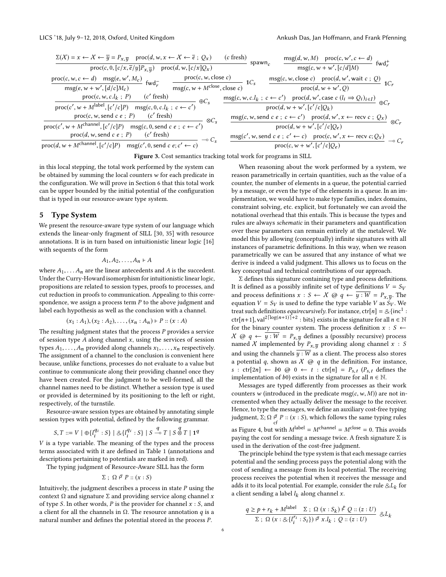<span id="page-5-1"></span>
$$
\frac{\Sigma(X) = x \leftarrow X \leftarrow \overline{y} = P_{x,\overline{y}} \mod (d, w, x \leftarrow X \leftarrow \overline{e}; Q_x) \quad (c \text{ fresh})}{\text{proc}(c, w, c \leftarrow d) \quad \text{msg}(e, w', M_c)} \quad \text{proc}(c, 0, [c/x, \overline{e/y}]P_{x,\overline{y}}) \quad \text{proc}(d, w, [c/x]Q_x) \quad \text{fwd}_r^+ \quad \text{msg}(c, w + w', [c/d]M) \quad \text{fwd}_r^+ \quad \text{msg}(c, w + w', [c/d]M) \quad \text{fwd}_r^+ \quad \text{msg}(c, w, c \leftarrow d) \quad \text{msg}(c, w', M_c) \quad \text{fwd}_r^- \quad \text{msg}(c, w, \text{close } c) \quad \text{1C}_s \quad \text{msg}(c, w, \text{close } c) \quad \text{proc}(d, w', w \text{ait } c; Q) \quad \text{1C}_r \quad \text{msg}(c, w, c.l_k; P) \quad (c' \text{ fresh}) \quad \text{prog}(d, w + w', [c'/c]Q_k) \quad \text{proc}(d, w + w', [c'/c]Q_k) \quad \text{proc}(d, w + w', [c'/c]Q_k) \quad \text{proc}(d, w + w', [c'/c]Q_k) \quad \text{proc}(d, w, s \leftarrow c; P) \quad (c' \text{ fresh}) \quad \text{msg}(c, 0, c.l_k; c \leftarrow c') \quad \text{msg}(c, w, \text{send } c \leftarrow c; c') \quad \text{proc}(d, w + w', [c'/c]Q_k) \quad \text{proc}(d, w + w', [c'/c]Q_k) \quad \text{proc}(d, w, s \leftarrow c; P) \quad \text{rroc}(d, w, s \leftarrow c; P) \quad \text{rroc}(d, w, s \leftarrow c; P) \quad \text{rroc}(d, w, s \leftarrow c; Q_x) \quad \text{proc}(d, w + w', [c'/c]Q_e) \quad \text{proc}(d, w + w', [c'/c]Q_e) \quad \text{proc}(d, w + w', [c'/c]Q_e) \quad \text{proc}(d, w + w', [c'/c]Q_e) \quad \text{rroc}(d, w + w', [c'/c]Q_e) \quad \text{rroc}(d, w + w',
$$



in this local stepping, the total work performed by the system can be obtained by summing the local counters  $w$  for each predicate in the configuration. We will prove in Section [6](#page-6-0) that this total work can be upper bounded by the initial potential of the configuration that is typed in our resource-aware type system.

# <span id="page-5-0"></span>5 Type System

We present the resource-aware type system of our language which extends the linear-only fragment of SILL [\[30,](#page-9-14) [35\]](#page-9-15) with resource annotations. It is in turn based on intuitionistic linear logic [\[16\]](#page-9-24) with sequents of the form

$$
A_1, A_2, \ldots, A_n \vdash A
$$

where  $A_1, \ldots, A_n$  are the linear antecedents and A is the succedent. Under the Curry-Howard isomorphism for intuitionistic linear logic, propositions are related to session types, proofs to processes, and cut reduction in proofs to communication. Appealing to this correspondence, we assign a process term  $P$  to the above judgment and label each hypothesis as well as the conclusion with a channel.

$$
(x_1 : A_1), (x_2 : A_2), \ldots, (x_n : A_n) \vdash P :: (x : A)
$$

The resulting judgment states that the process  $P$  provides a service<br>of session type  $A$  along channel  $x$ , using the services of session of session type  $A$  along channel  $x$ , using the services of session types  $A_1, \ldots, A_n$  provided along channels  $x_1, \ldots, x_n$  respectively. The assignment of a channel to the conclusion is convenient here because, unlike functions, processes do not evaluate to a value but continue to communicate along their providing channel once they have been created. For the judgment to be well-formed, all the channel names need to be distinct. Whether a session type is used or provided is determined by its positioning to the left or right, respectively, of the turnstile.

Resource-aware session types are obtained by annotating simple session types with potential, defined by the following grammar.

$$
S, T ::= V | \oplus \{l_i^{qi} : S\} | \otimes \{l_i^{qi} : S\} | S \stackrel{q}{\rightarrow} T | S \stackrel{q}{\otimes} T | 1^q
$$

V is a type variable. The meaning of the types and the process terms associated with it are defined in Table [1](#page-3-0) (annotations and descriptions pertaining to potentials are marked in red).

The typing judgment of Resource-Aware SILL has the form

$$
\Sigma\,;\,\Omega\,\,\mathsf{f}^g\,\,P\,::\,(x:S)
$$

Intuitively, the judgment describes a process in state P using the<br>context Q and signature  $\Sigma$  and providing service along channel x context Ω and signature Σ and providing service along channel x of type S. In other words, P is the provider for channel  $x : S$ , and a client for all the channels in  $Ω$ . The resource annotation *q* is a natural number and defines the potential stored in the process P.

When reasoning about the work performed by a system, we reason parametrically in certain quantities, such as the value of a counter, the number of elements in a queue, the potential carried by a message, or even the type of the elements in a queue. In an implementation, we would have to make type families, index domains, constraint solving, etc. explicit, but fortunately we can avoid the notational overhead that this entails. This is because the types and rules are always schematic in their parameters and quantification over these parameters can remain entirely at the metalevel. We model this by allowing (conceptually) infinite signatures with all instances of parametric definitions. In this way, when we reason parametrically we can be assured that any instance of what we derive is indeed a valid judgment. This allows us to focus on the key conceptual and technical contributions of our approach.

Σ defines this signature containing type and process definitions. It is defined as a possibly infinite set of type definitions  $V = S_V$ and process definitions  $x : S \leftarrow X \omega q \leftarrow y : W = P_{x, \overline{y}}$ . The equation  $V = S_M$  is used to define the type variable V as  $S_M$ . We equation  $V = S_V$  is used to define the type variable V as  $\tilde{S}_V$ . We treat such definitions *equirecursively*. For instance,  $\text{ctr}[n] = \mathcal{R}\{\text{inc}^1 :$ <br> $\text{ctr}[n+1]$ ,  $\text{tan}^2[\log(n+1)] + 2$ , bital, quista in the signature for all  $n \in \mathbb{N}$ . ctr[n+1], val<sup>2[log(n+1)]+2</sup> : bits} exists in the signature for all  $n \in \mathbb{N}$ <br>for the binary counter system. The process definition  $x : S \leftarrow$ for the binary counter system. The process definition  $x\,:\,S\,\leftarrow$  $X \varnothing q \leftarrow \overline{y : W} = P_{x, \overline{y}}$  defines a (possibly recursive) process named X implemented by  $P_{x,\overline{y}}$  providing along channel  $x : S$ and using the channels  $\overline{y : W}$  as a client. The process also stores a potential q, shown as  $X \varnothing q$  in the definition. For instance,  $s : \text{ctr}[2n] \leftarrow b \ 0 \ @ \ 0 \leftarrow t : \text{ctr}[n] = P_{s,t} (P_{s,t} \text{ defines the  
implementation of } b0) \text{ exists in the signature for all } n \in \mathbb{N}$ implementation of *b*0) exists in the signature for all  $n \in \mathbb{N}$ .

Messages are typed differently from processes as their work counters w (introduced in the predicate  $msg(c, w, M)$ ) are not incremented when they actually deliver the message to the receiver. Hence, to type the messages, we define an auxiliary cost-free typing judgment, Σ; Ω $\frac{β}{cf}$  ${}_{c}^{\beta}$  P :: (x : S), which follows the same typing rules as Figure [4,](#page-6-1) but with  $M^{\text{label}} = M^{\text{channel}} = M^{\text{close}} = 0$ . This avoids paying the cost for sending a message twice. A fresh signature  $\Sigma$  is used in the derivation of the cost-free judgment.

The principle behind the type system is that each message carries potential and the sending process pays the potential along with the cost of sending a message from its local potential. The receiving process receives the potential when it receives the message and adds it to its local potential. For example, consider the rule  $\&L_k$  for<br>a client sending a label L, along channel x a client sending a label  $l_k$  along channel x.

$$
\frac{q \geq p + r_k + M^{\text{label}} \quad \Sigma \; ; \; \Omega \; (x : S_k) \; \mathsf{f}^P \; Q :: (z : U)}{\Sigma \; ; \; \Omega \; (x : \mathcal{R} \{l_i^r : S_i\}) \; \mathsf{f}^T \; x.l_k \; ; \; Q :: (z : U)} \; \mathcal{L} \; k
$$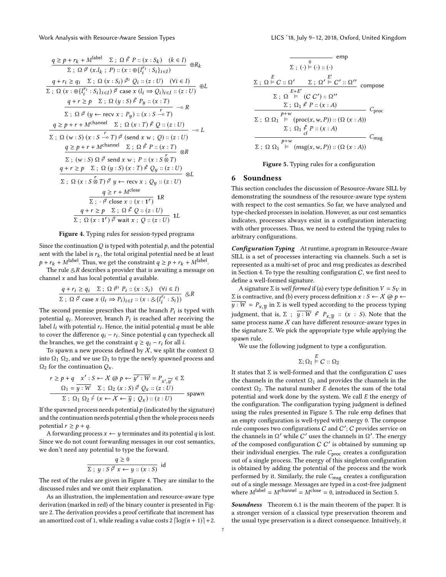<span id="page-6-1"></span>
$$
\frac{q \geq p + r_k + M^{\text{label}} \sum; \Omega \not\stackrel{P}{=} P :: (x : S_k) \quad (k \in I)}{\sum; \Omega \not\stackrel{P}{=} (x.l_k ; P) :: (x : \bigoplus \{l_i^{r_i} : S_i\}_{i \in I})} \oplus R_k
$$
\n
$$
\frac{q + r_i \geq q_i \sum; \Omega (x : S_i) \not\stackrel{q_i}{=} Q_i :: (z : U) \quad (\forall i \in I)}{\sum; \Omega (x : \bigoplus \{l_i^{r_i} : S_i\}_{i \in I}) \not\stackrel{q}{=} \text{case } x (l_i \Rightarrow Q_i)_{i \in I} :: (z : U)} \oplus L
$$
\n
$$
\frac{q + r \geq p \sum; \Omega (y : S) \not\stackrel{P}{=} y :: (x : T)}{\sum; \Omega \not\stackrel{q}{=} y + r \Rightarrow p \sum; \Omega (y : S) \not\stackrel{P}{=} y :: (x : S \neg T)}{\sum; \Omega \not\stackrel{q}{=} y + r + M^{\text{channel}} \sum; \Omega (x : T) \not\stackrel{P}{=} Q :: (z : U)} \longrightarrow L
$$
\n
$$
\frac{q \geq p + r + M^{\text{channel}} \sum; \Omega (x : T) \not\stackrel{P}{=} Q :: (z : U)}{\sum; \Omega (w : S) (x : S \neg T) \not\stackrel{q}{=} (\text{send } x w ; Q) :: (z : U)} \oplus R
$$
\n
$$
\frac{q \geq p + r + M^{\text{channel}} \sum; \Omega \not\stackrel{P}{=} \text{if } x : S \not\stackrel{P}{=} T)}{\sum; \Omega (x : S \not\stackrel{P}{=} y \Rightarrow \text{recv } x ; Q_y :: (z : U)} \oplus L
$$
\n
$$
\frac{q \geq r + M^{\text{close}}}{\sum; \neg P \text{close } x :: (x : T)} \text{1R}
$$
\n
$$
\frac{q + r \geq p \sum; \Omega \not\stackrel{P}{=} y \Rightarrow r \text{etc. } U)}{\sum; \Omega (x : T) \not\stackrel{q}{=} y \text{with } x ; Q :: (z : U)} \text{1L}
$$

#### Figure 4. Typing rules for session-typed programs

Since the continuation  $Q$  is typed with potential  $p$ , and the potential sent with the label is  $r_k$ , the total original potential need be at least<br> $r_k + M^{\text{label}}$ . Thus, we get the constraint  $q > n + r_k + M^{\text{label}}$  $p + r_k + M^{\text{label}}$ . Thus, we get the constraint  $q \ge p + r_k + M^{\text{label}}$ .<br>The rule 2.8 describes a provider that is awaiting a message

The rule  $&R$  describes a provider that is awaiting a message on channel  $x$  and has local potential  $q$  available.

$$
\frac{q + r_i \ge q_i \quad \Sigma \; ; \; \Omega \; \mathfrak{f}^i \; P_i :: (x : S_i) \quad (\forall i \in I)}{\Sigma \; ; \; \Omega \; \mathfrak{f} \; \text{case} \; x \; (l_i \Rightarrow P_i)_{i \in I} :: (x : \mathcal{Z} \{l_i^{r_i} : S_i\})} \; \mathcal{Z}R
$$

The second premise prescribes that the branch  $P_i$  is typed with potential  $a_i$ . Moreover, branch  $P_i$  is reached after receiving the potential  $q_i$ . Moreover, branch  $P_i$  is reached after receiving the label  $l$ , with potential  $r$ . Hence the initial potential  $a$  must be able label  $l_i$  with potential  $r_i$ . Hence, the initial potential  $q$  must be able<br>to cover the difference  $q_i - r_i$ . Since potential  $q$  can typecheck all to cover the difference  $q_i - r_i$ . Since potential q can typecheck all the branches we get the constraint  $a > a_i - r_i$  for all i the branches, we get the constraint  $q \ge q_i - r_i$  for all *i*.

To spawn a new process defined by  $X$ , we split the context  $\Omega$ into  $\Omega_1$   $\Omega_2$ , and we use  $\Omega_1$  to type the newly spawned process and  $\Omega_2$  for the continuation  $Q_x$ .

$$
r \ge p + q \quad x': S \leftarrow X \text{ @ } p \leftarrow \overline{y': W} = P_{x', \overline{y'}} \in \Sigma
$$
  

$$
\frac{\Omega_1}{\Sigma_1 \cdot W} \sum_i \Omega_2 (x : S) \stackrel{\beta}{\Sigma_2} Q_x :: (z : U)
$$
  

$$
\Sigma_i \Omega_1 \Omega_2 \stackrel{\gamma}{\Sigma} (x \leftarrow X \leftarrow \overline{y}; Q_x) :: (z : U)
$$
span

If the spawned process needs potential  $p$  (indicated by the signature) and the continuation needs potential  $q$  then the whole process needs potential  $r \geq p + q$ .

A forwarding process  $x \leftarrow y$  terminates and its potential q is lost. Since we do not count forwarding messages in our cost semantics, we don't need any potential to type the forward.

$$
\frac{q \ge 0}{\Sigma \; ; \; y : S \; \mathfrak{f} \; x \leftarrow y :: (x : S)} \; \mathsf{id}
$$

The rest of the rules are given in Figure [4.](#page-6-1) They are similar to the discussed rules and we omit their explanation.

As an illustration, the implementation and resource-aware type derivation (marked in red) of the binary counter is presented in Figure [2.](#page-4-0) The derivation provides a proof certificate that increment has an amortized cost of 1, while reading a value costs  $2 \left[ \log(n + 1) \right] + 2$ .

<span id="page-6-2"></span>
$$
\frac{E}{\Sigma : (\cdot) \vDash (\cdot) :: (\cdot)}
$$
\n
$$
\frac{\Sigma : \Omega \vDash C :: \Omega' \quad \Sigma : \Omega' \vDash C' :: \Omega''}{\Sigma : \Omega \vDash E' \quad (C C') :: \Omega''}
$$
\n
$$
\frac{\Sigma : \Omega_1 \vDash P :: (x : A)}{P + w}
$$
\n
$$
\frac{\Sigma : \Omega_1 \vDash P :: (x : A)}{C \text{proc}(x, w, P)) :: (\Omega (x : A))}
$$
\n
$$
\frac{\Sigma : \Omega_1 \vDash P :: (x : A)}{c f}
$$
\n
$$
\frac{\Sigma : \Omega_2 \vDash P :: (x : A)}{C \text{msg}(x, w, P)) :: (\Omega (x : A))}
$$
\n
$$
\frac{\Sigma : \Omega_2 \vDash P : (x : A)}{C \text{msg}(x, w, P)) :: (\Omega (x : A))}
$$

## Figure 5. Typing rules for a configuration

## <span id="page-6-0"></span>6 Soundness

This section concludes the discussion of Resource-Aware SILL by demonstrating the soundness of the resource-aware type system with respect to the cost semantics. So far, we have analyzed and type-checked processes in isolation. However, as our cost semantics indicates, processes always exist in a configuration interacting with other processes. Thus, we need to extend the typing rules to arbitrary configurations.

Configuration Typing At runtime, a program in Resource-Aware SILL is a set of processes interacting via channels. Such a set is represented as a multi-set of proc and msg predicates as described in Section [4.](#page-3-1) To type the resulting configuration  $C$ , we first need to define a well-formed signature.

A signature  $\Sigma$  is well formed if (a) every type definition  $V = S_V$  in Σ is contractive, and (b) every process definition  $x : S \leftarrow X \text{ @ } p$  ←  $y: W = P_{x, \overline{y}}$  in  $\Sigma$  is well typed according to the process typing judgment, that is,  $\Sigma$ ;  $\overline{y : W} \not\stackrel{p}{\longleftarrow} P_{x,\overline{y}} :: (x : S)$ . Note that the same process name  $X$  can have different resource-aware types in the signature Σ. We pick the appropriate type while applying the spawn rule.

We use the following judgment to type a configuration.

$$
\Sigma; \Omega_1 \stackrel{E}{\models} C :: \Omega_2
$$

It states that  $\Sigma$  is well-formed and that the configuration  $C$  uses the channels in the context  $\Omega_1$  and provides the channels in the context  $\Omega_2$ . The natural number E denotes the sum of the total potential and work done by the system. We call E the energy of the configuration. The configuration typing judgment is defined using the rules presented in Figure [5.](#page-6-2) The rule emp defines that an empty configuration is well-typed with energy 0. The compose rule composes two configurations  $C$  and  $C'$ ;  $C$  provides service on the channels in  $\Omega'$  while C' uses the channels in  $\Omega'$ . The energy of the composed configuration C C' is obtained by summing up of the composed configuration  $C$   $C'$  is obtained by summing up their individual energies. The rule  $C_{\text{proc}}$  creates a configuration out of a single process. The energy of this singleton configuration is obtained by adding the potential of the process and the work performed by it. Similarly, the rule  $C_{\text{msg}}$  creates a configuration out of a single message. Messages are typed in a cost-free judgment where  $M^{\text{label}} = M^{\text{channel}} = M^{\text{close}} = 0$ , introduced in Section [5.](#page-5-0)

Soundness Theorem [6.1](#page-7-0) is the main theorem of the paper. It is a stronger version of a classical type preservation theorem and the usual type preservation is a direct consequence. Intuitively, it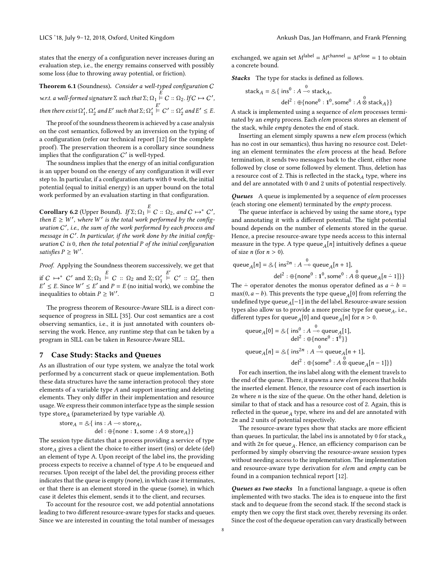states that the energy of a configuration never increases during an evaluation step, i.e., the energy remains conserved with possibly some loss (due to throwing away potential, or friction).

<span id="page-7-0"></span>Theorem 6.1 (Soundness). Consider a well-typed configuration C w.r.t. a well-formed signature  $\Sigma$  such that  $\Sigma; \Omega_1 \stackrel{\cong}{\models} C :: \Omega_2$ . If  $C \mapsto C',$ then there exist  $\Omega'_1$ ,  $\Omega'_2$  and E' such that  $\Sigma$ ;  $\Omega'_1 \stackrel{E'}{\models} C' :: \Omega'_2$  and  $E' \leq E$ .

The proof of the soundness theorem is achieved by a case analysis on the cost semantics, followed by an inversion on the typing of a configuration (refer our technical report [\[12\]](#page-9-25) for the complete proof). The preservation theorem is a corollary since soundness implies that the configuration  $C'$  is well-typed.

The soundness implies that the energy of an initial configuration is an upper bound on the energy of any configuration it will ever step to. In particular, if a configuration starts with 0 work, the initial potential (equal to initial energy) is an upper bound on the total work performed by an evaluation starting in that configuration.

**Corollary 6.2** (Upper Bound). If  $\Sigma$ ;  $\Omega_1 \stackrel{\sim}{\models} C :: \Omega_2$ , and  $C \mapsto^* C'$ , then  $F > W'$ , where  $W'$  is the total work performed by the configuration then  $E \geq W'$ , where W' is the total work performed by the configuration  $C'$  i.e., the sum of the work performed by each process and uration C ′ , i.e., the sum of the work performed by each process and message in C'. In particular, if the work done by the initial configuration  $C$  is 0, then the total potential  $P$  of the initial configuration satisfies  $P \geq W'$ .

Proof. Applying the Soundness theorem successively, we get that if C →<sup>∗</sup> C' and Σ; Ω<sub>1</sub>  $\stackrel{E}{\models}$  C :: Ω<sub>2</sub> and Σ; Ω<sub>1</sub>'  $\stackrel{E'}{\models}$  C' :: Ω<sub>2</sub>', then  $F' < F$  Since  $W' < F'$  and  $P - F$  (no initial work) we combine the inequalities to obtain  $P \geq W'$  $'$  ≤ E. Since  $W'$  ≤ E' and P = E (no initial work), we combine the nequalities to obtain P ≥ W'.

The progress theorem of Resource-Aware SILL is a direct consequence of progress in SILL [\[35\]](#page-9-15). Our cost semantics are a cost observing semantics, i.e., it is just annotated with counters observing the work. Hence, any runtime step that can be taken by a program in SILL can be taken in Resource-Aware SILL.

## 7 Case Study: Stacks and Queues

As an illustration of our type system, we analyze the total work performed by a concurrent stack or queue implementation. Both these data structures have the same interaction protocol: they store elements of a variable type A and support inserting and deleting elements. They only differ in their implementation and resource usage. We express their common interface type as the simple session type store<sub>A</sub> (parameterized by type variable A).<br>store  $A = 8\sqrt{3}$  ins :  $A \rightarrow$  store  $A$ 

$$
store_A = \& \{ ins : A \rightarrow store_A, \\ del : \oplus \{ none : 1, some : A \otimes store_A \} \}
$$

 $\mathsf{del} : \oplus \{\mathsf{none} : \mathsf{1}, \mathsf{some} : A \otimes \mathsf{store}_A\} \}$  The session type dictates that a process providing a service of type store $_A$  gives a client the choice to either insert (ins) or delete (del) an element of type A. Upon receipt of the label ins, the providing process expects to receive a channel of type A to be enqueued and recurses. Upon receipt of the label del, the providing process either indicates that the queue is empty (none), in which case it terminates, or that there is an element stored in the queue (some), in which case it deletes this element, sends it to the client, and recurses.

To account for the resource cost, we add potential annotations leading to two different resource-aware types for stacks and queues. Since we are interested in counting the total number of messages

exchanged, we again set  $M^{\text{label}} = M^{\text{channel}} = M^{\text{close}} = 1$  to obtain a concrete bound.

Stacks The type for stacks is defined as follows.

$$
\begin{aligned} \n\text{stack}_{A} &= \mathcal{A} \{ \text{ ins}^0 : A \stackrel{0}{\multimap} \text{stack}_{A}, \\ \n\text{del}^2 : \bigoplus \{ \text{none}^0 : 1^0, \text{some}^0 : A \stackrel{0}{\otimes} \text{stack}_{A} \} \} \n\end{aligned}
$$

A stack is implemented using a sequence of elem processes terminated by an empty process. Each elem process stores an element of the stack, while empty denotes the end of stack.

Inserting an element simply spawns a new elem process (which has no cost in our semantics), thus having no resource cost. Deleting an element terminates the elem process at the head. Before termination, it sends two messages back to the client, either none followed by close or some followed by element. Thus, deletion has a resource cost of 2. This is reflected in the stack $_A$  type, where ins and del are annotated with 0 and 2 units of potential respectively.

Queues A queue is implemented by a sequence of elem processes (each storing one element) terminated by the empty process.

The queue interface is achieved by using the same store $_A$  type and annotating it with a different potential. The tight potential bound depends on the number of elements stored in the queue. Hence, a precise resource-aware type needs access to this internal measure in the type. A type queue<sub>A</sub>[n] intuitively defines a queue<br>of size *n* (for *n* > 0) of size *n* (for  $n > 0$ ).

$$
\text{queue}_A[n] = \bigotimes \{ \text{ ins}^{2n} : A \stackrel{0}{\longrightarrow} \text{queue}_A[n+1],
$$
  

$$
\text{del}^2 : \oplus \{\text{none}^0 : 1^0, \text{some}^0 : A \stackrel{0}{\otimes} \text{queue}_A[n-1] \} \}
$$

 $\text{del}^2 : \oplus \{\text{none}^0 : 1^0, \text{some}^0 : A \otimes \text{queue}_A[n-1]\}\}$ <br>The  $\div$  operator denotes the monus operator defined as  $a \div b = \text{max}(0, a - b)$ . This prevents the type queue, [0] from referring the max(0,  $a - b$ ). This prevents the type queue<sub>A</sub>[0] from referring the undefined type queue<sub>A</sub>[−1] in the del label. Resource-aware session<br>types also allow us to provide a more precise type for queue, , i.e. types also allow us to provide a more precise type for queue<sub>A</sub>, i.e., different types for queue  $I_0$  and queue  $I_1$  for  $n > 0$ different types for queue<sub>A</sub>[0] and queue<sub>A</sub>[n] for  $n > 0$ .

queue<sub>A</sub>[0] = 
$$
\&
$$
{ ins<sup>0</sup> :  $A \xrightarrow{0}$  queue<sub>A</sub>[1],  
del<sup>2</sup> :  $\oplus$ {none<sup>0</sup> : 1<sup>0</sup>}\}  
queue<sub>A</sub>[n] =  $\&$ { ins<sup>2n</sup> :  $A \xrightarrow{0}$  queue<sub>A</sub>[n + 1],  
del<sup>2</sup> :  $\oplus$ {some<sup>0</sup> :  $A \otimes$  queue<sub>A</sub>[n - 1]}\n

 $\mathsf{del}^2 : \oplus \{\mathsf{some}^0 : A \stackrel{\sim}{\otimes} \mathsf{queue}_A[n-1]\}\}$  For each insertion, the ins label along with the element travels to the end of the queue. There, it spawns a new elem process that holds the inserted element. Hence, the resource cost of each insertion is  $2n$  where *n* is the size of the queue. On the other hand, deletion is similar to that of stack and has a resource cost of 2. Again, this is reflected in the queue<sub>A</sub> type, where ins and del are annotated with  $2n$  and  $2$  units of potential respectively <sup>2</sup>n and <sup>2</sup> units of potential respectively.

The resource-aware types show that stacks are more efficient than queues. In particular, the label ins is annotated by 0 for stack $_A$ and with  $2n$  for queue<sub>A</sub>. Hence, an efficiency comparison can be performed by simply observing the resource-aware session types without needing access to the implementation. The implementation and resource-aware type derivation for elem and empty can be found in a companion technical report [\[12\]](#page-9-25).

Queues as two stacks In a functional language, a queue is often implemented with two stacks. The idea is to enqueue into the first stack and to dequeue from the second stack. If the second stack is empty then we copy the first stack over, thereby reversing its order. Since the cost of the dequeue operation can vary drastically between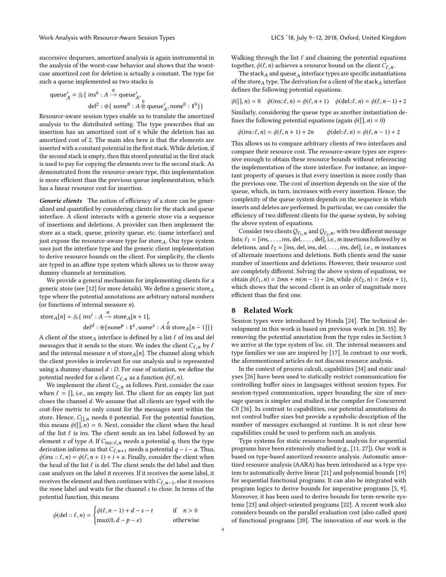successive dequeues, amortized analysis is again instrumental in the analysis of the worst-case behavior and shows that the worstcase amortized cost for deletion is actually a constant. The type for such a queue implemented as two stacks is

queue'<sub>A</sub> = 
$$
\&
$$
{ ins<sup>6</sup> :  $A \xrightarrow{0}$  queue'<sub>A</sub>,  
del<sup>2</sup> :  $\oplus$ { some<sup>0</sup> :  $A \otimes$  queue'<sub>A</sub>, none<sup>0</sup> : 1<sup>0</sup>}  
Resource-aware session types enable us to translate the amortized

analysis to the distributed setting. The type prescribes that an insertion has an amortized cost of 6 while the deletion has an amortized cost of 2. The main idea here is that the elements are inserted with a constant potential in the first stack. While deletion, if the second stack is empty, then this stored potential in the first stack is used to pay for copying the elements over to the second stack. As demonstrated from the resource-aware type, this implementation is more efficient than the previous queue implementation, which has a linear resource cost for insertion.

Generic clients The notion of efficiency of a store can be generalized and quantified by considering clients for the stack and queue interface. A client interacts with a generic store via a sequence of insertions and deletions. A provider can then implement the store as a stack, queue, priority queue, etc. (same interface) and just expose the resource-aware type for store $_A$ . Our type system uses just the interface type and the generic client implementation to derive resource bounds on the client. For simplicity, the clients are typed in an affine type system which allows us to throw away dummy channels at termination.

We provide a general mechanism for implementing clients for a generic store (see [\[12\]](#page-9-25) for more details). We define a generic store $_A$ type where the potential annotations are arbitrary natural numbers (or functions of internal measure n).

$$
store_A[n] = \bigotimes \{ ins^i : A \stackrel{a}{\longrightarrow} store_A[n+1],
$$
  
del<sup>d</sup> :  $\bigoplus$ {none<sup>p</sup> : 1<sup>e</sup>, some<sup>s</sup> :  $A \stackrel{t}{\otimes} store_A[n-1] \}$ }

A client of the store<sub>A</sub> interface is defined by a list  $\ell$  of ins and del<br>messages that it sends to the store We index the client  $C_{\ell}$ , by  $\ell$ messages that it sends to the store. We index the client  $C_{\ell,n}$  by  $\ell$ and the internal measure *n* of store  $\Lambda[n]$ . The channel along which the client provides is irrelevant for our analysis and is represented using a dummy channel  $d : D$ . For ease of notation, we define the potential needed for a client  $C_{\ell,n}$  as a function  $\phi(\ell,n)$ .

We implement the client  $C_{\ell,n}$  as follows. First, consider the case when  $\ell = []$ , i.e., an empty list. The client for an empty list just closes the channel d. We assume that all clients are typed with the cost-free metric to only count for the messages sent within the store. Hence,  $C_{[]n}$  needs 0 potential. For the potential function, this means  $\phi([l,n) = 0$ . Next, consider the client when the head of the list  $\ell$  is ins. The client sends an ins label followed by an element x of type A. If  $C_{ins::\ell,n}$  needs a potential q, then the type derivation informs us that  $C_{\ell,n+1}$  needs a potential  $q - i - a$ . Thus,  $\phi$ (ins ::  $\ell$ , n) =  $\phi$ ( $\ell$ , n + 1) + i + a. Finally, consider the client when the head of the list  $\ell$  is del. The client sends the del label and then case analyzes on the label it receives. If it receives the some label, it receives the element and then continues with  $C_{\ell,n-1}$ , else it receives<br>the none label and waits for the channel s to close. In terms of the the none label and waits for the channel s to close. In terms of the potential function, this means

$$
\phi(\text{del} :: \ell, n) = \begin{cases} \phi(\ell, n-1) + d - s - t & \text{if } n > 0\\ \max(0, d - p - e) & \text{otherwise} \end{cases}
$$

Walking through the list  $\ell$  and chaining the potential equations together,  $\phi(\ell, n)$  achieves a resource bound on the client  $C_{\ell, n}$ .

The stack $_A$  and queue $_A$  interface types are specific instantiations of the store $_A$  type. The derivation for a client of the stack $_A$  interface defines the following potential equations.

$$
\phi([1, n) = 0 \quad \phi(\text{ins::}\ell, n) = \phi(\ell, n+1) \quad \phi(\text{del::}\ell, n) = \phi(\ell, n-1) + 2
$$

Similarly, considering the queue type as another instantiation defines the following potential equations (again  $\phi([], n) = 0$ )<br>  $\phi(\text{ins}::\ell, n) = \phi(\ell, n+1) + 2n$   $\phi(\text{del}::\ell, n) = \phi(\ell, n-1) + 2$ 

 $\phi(\text{ins::}\ell,n) = \phi(\ell,n+1) + 2n$ 

This allows us to compare arbitrary clients of two interfaces and compare their resource cost. The resource-aware types are expressive enough to obtain these resource bounds without referencing the implementation of the store interface. For instance, an important property of queues is that every insertion is more costly than the previous one. The cost of insertion depends on the size of the queue, which, in turn, increases with every insertion. Hence, the complexity of the queue system depends on the sequence in which inserts and deletes are performed. In particular, we can consider the efficiency of two different clients for the queue system, by solving the above system of equations.

Consider two clients  $Q_{\ell_1,n}$  and  $Q_{\ell_2,n}$ , with two different message lists;  $\ell_1 =$  [ins, . . . , ins, del, . . . , del], i.e., *m* insertions followed by *m* deletions, and  $\ell_2 =$  [ins, del, ins, del, ..., ins, del], i.e., *m* instances of alternate insertions and deletions. Both clients send the same number of insertions and deletions. However, their resource cost are completely different. Solving the above system of equations, we obtain  $\phi(\ell_1, n) = 2mn + m(m - 1) + 2m$ , while  $\phi(\ell_2, n) = 2m(n + 1)$ , which shows that the second client is an order of magnitude more efficient than the first one.

## 8 Related Work

Session types were introduced by Honda [\[24\]](#page-9-10). The technical development in this work is based on previous work in [\[30,](#page-9-14) [35\]](#page-9-15). By removing the potential annotation from the type rules in Section [5](#page-5-0) we arrive at the type system of loc. cit. The internal measures and type families we use are inspired by [\[17\]](#page-9-18). In contrast to our work, the aforementioned articles do not discuss resource analysis.

In the context of process calculi, capabilities [\[34\]](#page-9-26) and static analyses [\[26\]](#page-9-27) have been used to statically restrict communication for controlling buffer sizes in languages without session types. For session-typed communication, upper bounding the size of message queues is simpler and studied in the compiler for Concurrent C0 [\[36\]](#page-9-28). In contrast to capabilities, our potential annotations do not control buffer sizes but provide a symbolic description of the number of messages exchanged at runtime. It is not clear how capabilities could be used to perform such an analysis.

Type systems for static resource bound analysis for sequential programs have been extensively studied (e.g., [\[11,](#page-9-29) [27\]](#page-9-30)). Our work is based on type-based amortized resource analysis. Automatic amortized resource analysis (AARA) has been introduced as a type system to automatically derive linear [\[21\]](#page-9-17) and polynomial bounds [\[19\]](#page-9-16) for sequential functional programs. It can also be integrated with program logics to derive bounds for imperative programs [\[5,](#page-9-31) [9\]](#page-9-32). Moreover, it has been used to derive bounds for term-rewrite systems [\[23\]](#page-9-33) and object-oriented programs [\[22\]](#page-9-34). A recent work also considers bounds on the parallel evaluation cost (also called span) of functional programs [\[20\]](#page-9-35). The innovation of our work is the